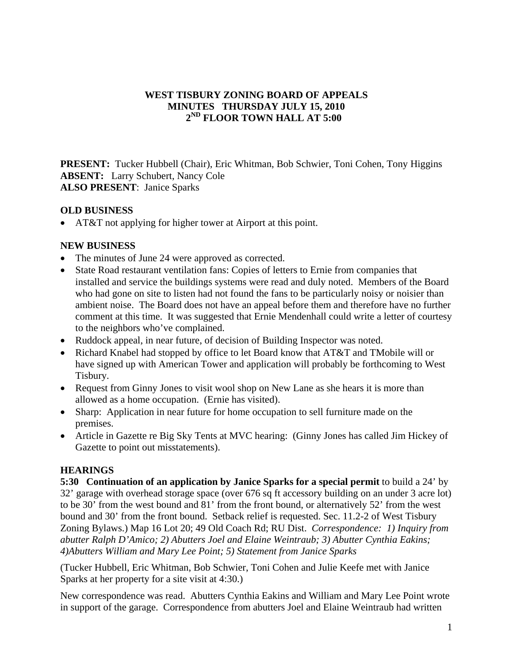### **WEST TISBURY ZONING BOARD OF APPEALS MINUTES THURSDAY JULY 15, 2010 2ND FLOOR TOWN HALL AT 5:00**

**PRESENT:** Tucker Hubbell (Chair), Eric Whitman, Bob Schwier, Toni Cohen, Tony Higgins **ABSENT:** Larry Schubert, Nancy Cole **ALSO PRESENT**: Janice Sparks

### **OLD BUSINESS**

• AT&T not applying for higher tower at Airport at this point.

## **NEW BUSINESS**

- The minutes of June 24 were approved as corrected.
- State Road restaurant ventilation fans: Copies of letters to Ernie from companies that installed and service the buildings systems were read and duly noted. Members of the Board who had gone on site to listen had not found the fans to be particularly noisy or noisier than ambient noise. The Board does not have an appeal before them and therefore have no further comment at this time. It was suggested that Ernie Mendenhall could write a letter of courtesy to the neighbors who've complained.
- Ruddock appeal, in near future, of decision of Building Inspector was noted.
- Richard Knabel had stopped by office to let Board know that AT&T and TMobile will or have signed up with American Tower and application will probably be forthcoming to West Tisbury.
- Request from Ginny Jones to visit wool shop on New Lane as she hears it is more than allowed as a home occupation. (Ernie has visited).
- Sharp: Application in near future for home occupation to sell furniture made on the premises.
- Article in Gazette re Big Sky Tents at MVC hearing: (Ginny Jones has called Jim Hickey of Gazette to point out misstatements).

# **HEARINGS**

**5:30 Continuation of an application by Janice Sparks for a special permit** to build a 24' by 32' garage with overhead storage space (over 676 sq ft accessory building on an under 3 acre lot) to be 30' from the west bound and 81' from the front bound, or alternatively 52' from the west bound and 30' from the front bound. Setback relief is requested. Sec. 11.2-2 of West Tisbury Zoning Bylaws.) Map 16 Lot 20; 49 Old Coach Rd; RU Dist. *Correspondence: 1) Inquiry from abutter Ralph D'Amico; 2) Abutters Joel and Elaine Weintraub; 3) Abutter Cynthia Eakins; 4)Abutters William and Mary Lee Point; 5) Statement from Janice Sparks* 

(Tucker Hubbell, Eric Whitman, Bob Schwier, Toni Cohen and Julie Keefe met with Janice Sparks at her property for a site visit at 4:30.)

New correspondence was read. Abutters Cynthia Eakins and William and Mary Lee Point wrote in support of the garage. Correspondence from abutters Joel and Elaine Weintraub had written